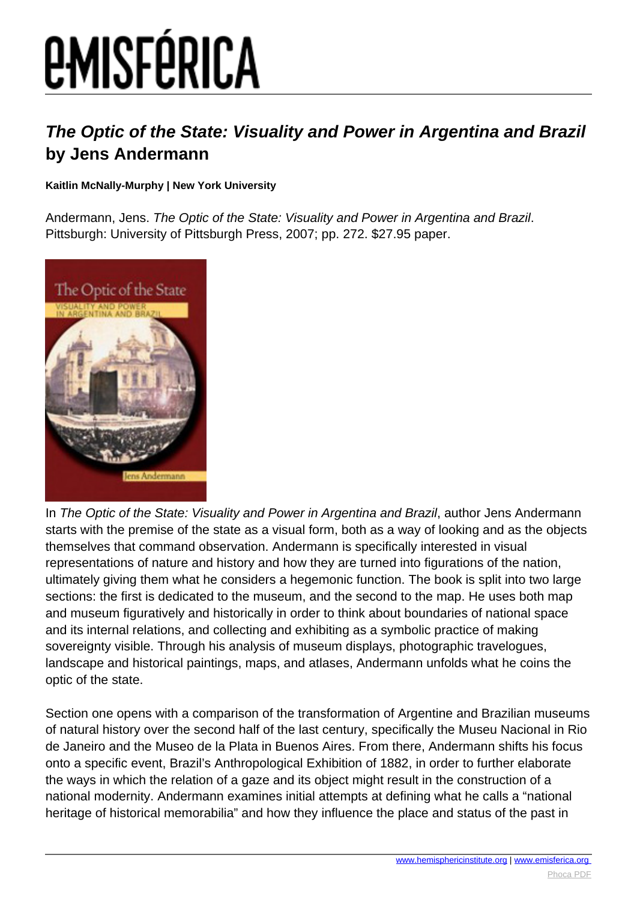## **EMISFÉRICA**

## **The Optic of the State: Visuality and Power in Argentina and Brazil by Jens Andermann**

## **Kaitlin McNally-Murphy | New York University**

Andermann, Jens. The Optic of the State: Visuality and Power in Argentina and Brazil. Pittsburgh: University of Pittsburgh Press, 2007; pp. 272. \$27.95 paper.



In The Optic of the State: Visuality and Power in Argentina and Brazil, author Jens Andermann starts with the premise of the state as a visual form, both as a way of looking and as the objects themselves that command observation. Andermann is specifically interested in visual representations of nature and history and how they are turned into figurations of the nation, ultimately giving them what he considers a hegemonic function. The book is split into two large sections: the first is dedicated to the museum, and the second to the map. He uses both map and museum figuratively and historically in order to think about boundaries of national space and its internal relations, and collecting and exhibiting as a symbolic practice of making sovereignty visible. Through his analysis of museum displays, photographic travelogues, landscape and historical paintings, maps, and atlases, Andermann unfolds what he coins the optic of the state.

Section one opens with a comparison of the transformation of Argentine and Brazilian museums of natural history over the second half of the last century, specifically the Museu Nacional in Rio de Janeiro and the Museo de la Plata in Buenos Aires. From there, Andermann shifts his focus onto a specific event, Brazil's Anthropological Exhibition of 1882, in order to further elaborate the ways in which the relation of a gaze and its object might result in the construction of a national modernity. Andermann examines initial attempts at defining what he calls a "national heritage of historical memorabilia" and how they influence the place and status of the past in